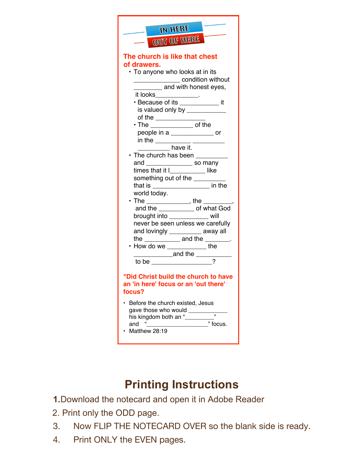| <b>IN HERE</b><br>OUT OF HERE                                                                                                                                           |
|-------------------------------------------------------------------------------------------------------------------------------------------------------------------------|
| The church is like that chest<br>of drawers.<br>• To anyone who looks at in its<br>condition without<br>and with honest eyes,                                           |
| it looks_____________.<br>· Because of its ____________ it<br>is valued only by _____________<br>of the ____________                                                    |
| $\bm{\cdot}$ The _________________ of the<br>people in a ________________ or<br>in the ____________ __________                                                          |
| $\frac{1}{2}$ have it.<br>• The church has been _________<br>and _________________ so many<br>times that it I___________ like                                           |
| something out of the __________<br>that is _____________________ in the<br>world today.<br>• The ______________, the ________,                                          |
| and the ______________ of what God<br>brought into ____________ will<br>never be seen unless we carefully<br>and lovingly __________ away all                           |
| the $\frac{1}{\sqrt{1-\frac{1}{2}}}\$ and the $\frac{1}{\sqrt{1-\frac{1}{2}}}\$ .<br>• How do we ____________ the<br>_______________and the ___________<br>to be $\_\_$ |
| Did Christ build the church to have<br>an 'in here' focus or an 'out there'<br>focus?                                                                                   |
| Before the church existed, Jesus<br>gave those who would<br>his kingdom both an "<br>and<br>focus.<br>Matthew 28:19                                                     |

## **Printing Instructions**

- **1.**Download the notecard and open it in Adobe Reader
- 2. Print only the ODD page.
- 3. Now FLIP THE NOTECARD OVER so the blank side is ready.
- 4. Print ONLY the EVEN pages.